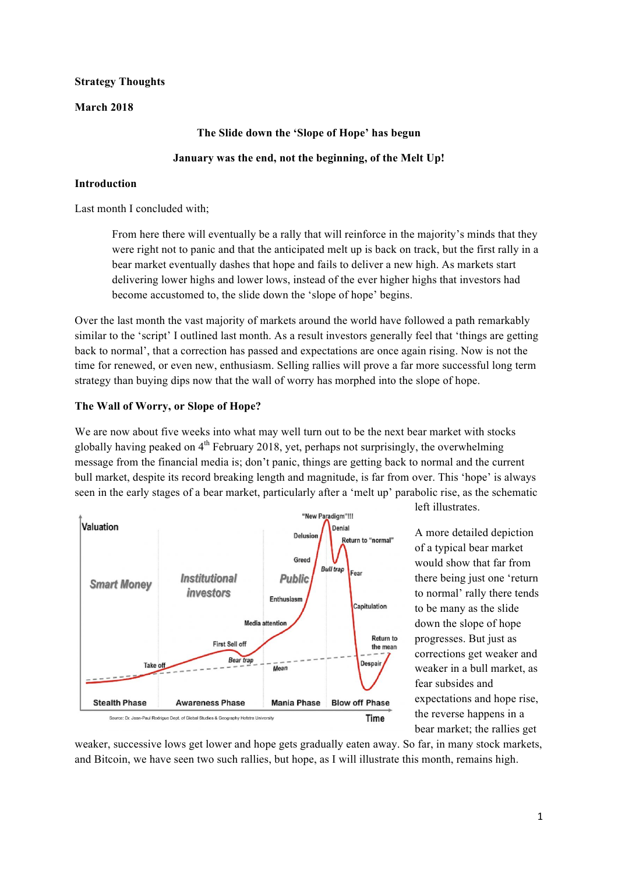## **Strategy Thoughts**

## **March 2018**

#### **The Slide down the 'Slope of Hope' has begun**

## **January was the end, not the beginning, of the Melt Up!**

## **Introduction**

Last month I concluded with;

From here there will eventually be a rally that will reinforce in the majority's minds that they were right not to panic and that the anticipated melt up is back on track, but the first rally in a bear market eventually dashes that hope and fails to deliver a new high. As markets start delivering lower highs and lower lows, instead of the ever higher highs that investors had become accustomed to, the slide down the 'slope of hope' begins.

Over the last month the vast majority of markets around the world have followed a path remarkably similar to the 'script' I outlined last month. As a result investors generally feel that 'things are getting back to normal', that a correction has passed and expectations are once again rising. Now is not the time for renewed, or even new, enthusiasm. Selling rallies will prove a far more successful long term strategy than buying dips now that the wall of worry has morphed into the slope of hope.

## **The Wall of Worry, or Slope of Hope?**

We are now about five weeks into what may well turn out to be the next bear market with stocks globally having peaked on  $4<sup>th</sup>$  February 2018, yet, perhaps not surprisingly, the overwhelming message from the financial media is; don't panic, things are getting back to normal and the current bull market, despite its record breaking length and magnitude, is far from over. This 'hope' is always seen in the early stages of a bear market, particularly after a 'melt up' parabolic rise, as the schematic



left illustrates.

A more detailed depiction of a typical bear market would show that far from there being just one 'return to normal' rally there tends to be many as the slide down the slope of hope progresses. But just as corrections get weaker and weaker in a bull market, as fear subsides and expectations and hope rise, the reverse happens in a bear market; the rallies get

weaker, successive lows get lower and hope gets gradually eaten away. So far, in many stock markets, and Bitcoin, we have seen two such rallies, but hope, as I will illustrate this month, remains high.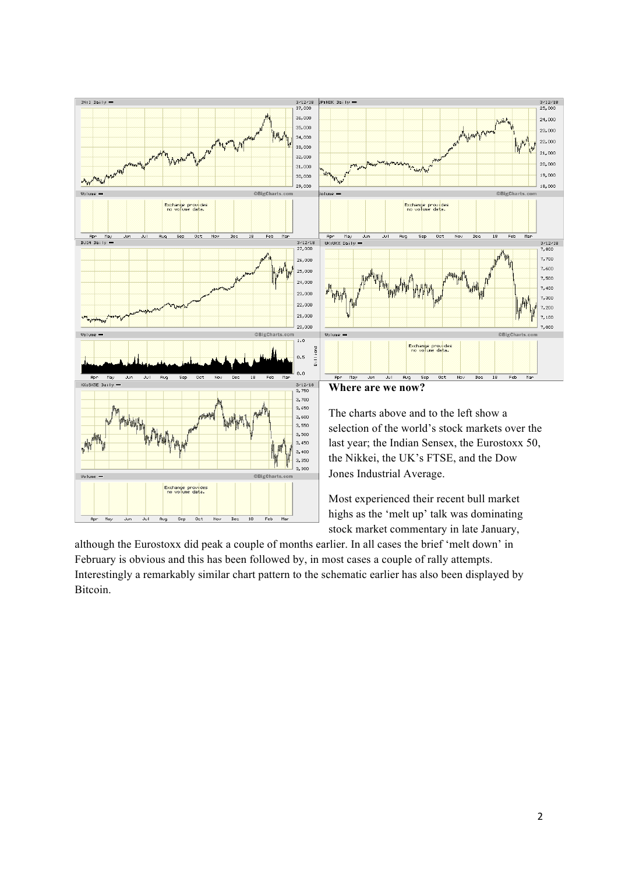

highs as the 'melt up' talk was dominating stock market commentary in late January,

although the Eurostoxx did peak a couple of months earlier. In all cases the brief 'melt down' in February is obvious and this has been followed by, in most cases a couple of rally attempts. Interestingly a remarkably similar chart pattern to the schematic earlier has also been displayed by **Bitcoin**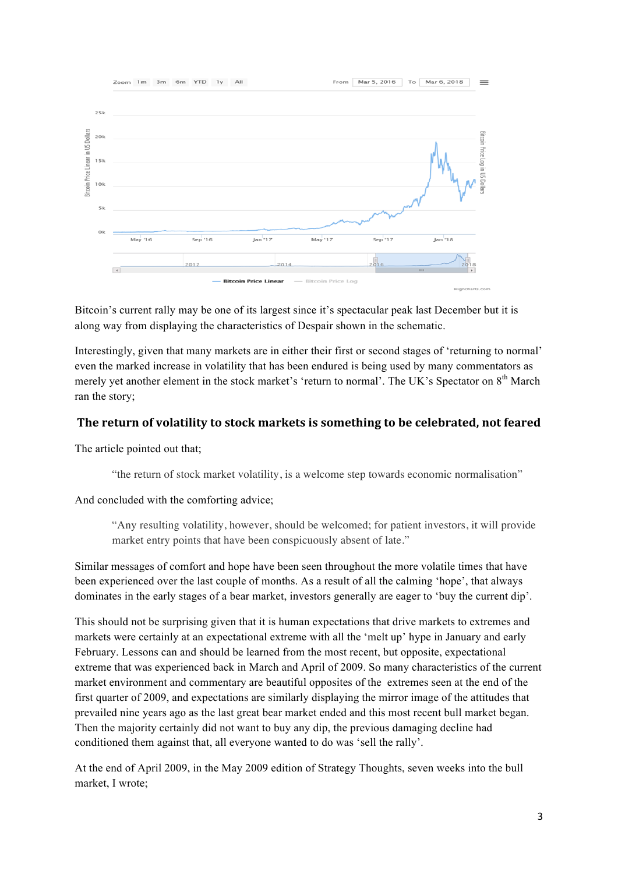

Bitcoin's current rally may be one of its largest since it's spectacular peak last December but it is along way from displaying the characteristics of Despair shown in the schematic.

Interestingly, given that many markets are in either their first or second stages of 'returning to normal' even the marked increase in volatility that has been endured is being used by many commentators as merely yet another element in the stock market's 'return to normal'. The UK's Spectator on 8<sup>th</sup> March ran the story;

## The return of volatility to stock markets is something to be celebrated, not feared

The article pointed out that;

"the return of stock market volatility, is a welcome step towards economic normalisation"

And concluded with the comforting advice;

"Any resulting volatility, however, should be welcomed; for patient investors, it will provide market entry points that have been conspicuously absent of late."

Similar messages of comfort and hope have been seen throughout the more volatile times that have been experienced over the last couple of months. As a result of all the calming 'hope', that always dominates in the early stages of a bear market, investors generally are eager to 'buy the current dip'.

This should not be surprising given that it is human expectations that drive markets to extremes and markets were certainly at an expectational extreme with all the 'melt up' hype in January and early February. Lessons can and should be learned from the most recent, but opposite, expectational extreme that was experienced back in March and April of 2009. So many characteristics of the current market environment and commentary are beautiful opposites of the extremes seen at the end of the first quarter of 2009, and expectations are similarly displaying the mirror image of the attitudes that prevailed nine years ago as the last great bear market ended and this most recent bull market began. Then the majority certainly did not want to buy any dip, the previous damaging decline had conditioned them against that, all everyone wanted to do was 'sell the rally'.

At the end of April 2009, in the May 2009 edition of Strategy Thoughts, seven weeks into the bull market, I wrote;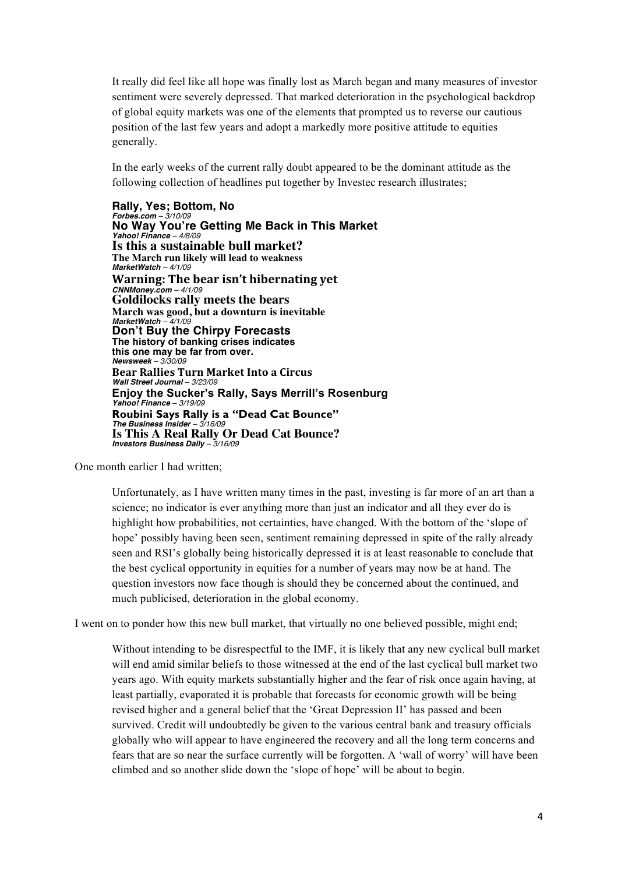It really did feel like all hope was finally lost as March began and many measures of investor sentiment were severely depressed. That marked deterioration in the psychological backdrop of global equity markets was one of the elements that prompted us to reverse our cautious position of the last few years and adopt a markedly more positive attitude to equities generally.

In the early weeks of the current rally doubt appeared to be the dominant attitude as the following collection of headlines put together by Investec research illustrates;

**Rally, Yes; Bottom, No** *Forbes.com – 3/10/09* **No Way You're Getting Me Back in This Market** *Yahoo! Finance – 4/8/09* **Is this a sustainable bull market? The March run likely will lead to weakness** *MarketWatch – 4/1/09* **Warning: The bear isn't hibernating yet** *CNNMoney.com – 4/1/09* **Goldilocks rally meets the bears March was good, but a downturn is inevitable** *MarketWatch – 4/1/09* **Don't Buy the Chirpy Forecasts The history of banking crises indicates this one may be far from over.** *Newsweek – 3/30/09* **Bear Rallies Turn Market Into a Circus** *Wall Street Journal – 3/23/09* **Enjoy the Sucker's Rally, Says Merrill's Rosenburg** *Yahoo! Finance – 3/19/09* **Roubini Says Rally is a "Dead Cat Bounce"** *The Business Insider – 3/16/09* **Is This A Real Rally Or Dead Cat Bounce?** *Investors Business Daily – 3/16/09*

One month earlier I had written;

Unfortunately, as I have written many times in the past, investing is far more of an art than a science; no indicator is ever anything more than just an indicator and all they ever do is highlight how probabilities, not certainties, have changed. With the bottom of the 'slope of hope' possibly having been seen, sentiment remaining depressed in spite of the rally already seen and RSI's globally being historically depressed it is at least reasonable to conclude that the best cyclical opportunity in equities for a number of years may now be at hand. The question investors now face though is should they be concerned about the continued, and much publicised, deterioration in the global economy.

I went on to ponder how this new bull market, that virtually no one believed possible, might end;

Without intending to be disrespectful to the IMF, it is likely that any new cyclical bull market will end amid similar beliefs to those witnessed at the end of the last cyclical bull market two years ago. With equity markets substantially higher and the fear of risk once again having, at least partially, evaporated it is probable that forecasts for economic growth will be being revised higher and a general belief that the 'Great Depression II' has passed and been survived. Credit will undoubtedly be given to the various central bank and treasury officials globally who will appear to have engineered the recovery and all the long term concerns and fears that are so near the surface currently will be forgotten. A 'wall of worry' will have been climbed and so another slide down the 'slope of hope' will be about to begin.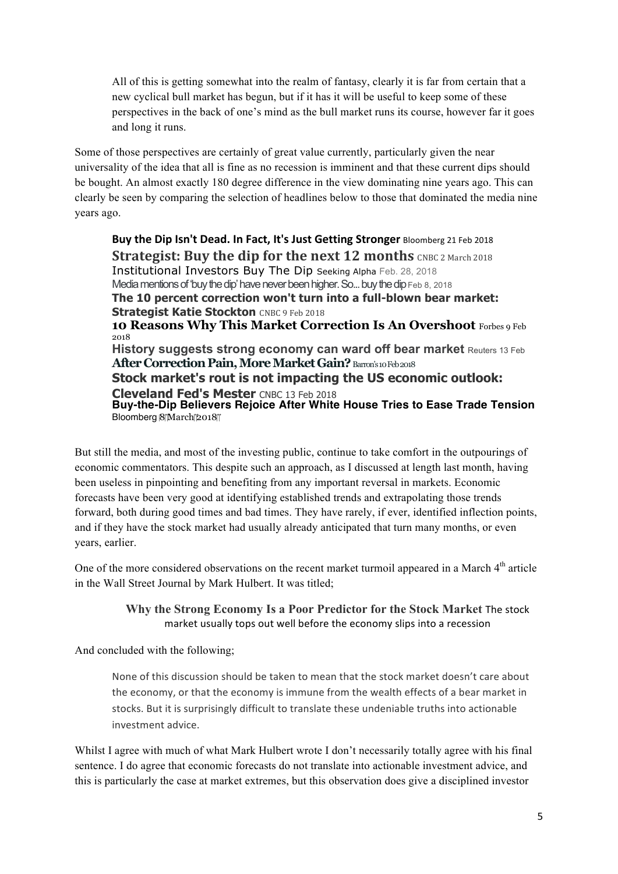All of this is getting somewhat into the realm of fantasy, clearly it is far from certain that a new cyclical bull market has begun, but if it has it will be useful to keep some of these perspectives in the back of one's mind as the bull market runs its course, however far it goes and long it runs.

Some of those perspectives are certainly of great value currently, particularly given the near universality of the idea that all is fine as no recession is imminent and that these current dips should be bought. An almost exactly 180 degree difference in the view dominating nine years ago. This can clearly be seen by comparing the selection of headlines below to those that dominated the media nine years ago.

**Buy the Dip Isn't Dead. In Fact, It's Just Getting Stronger Bloomberg 21 Feb 2018 Strategist: Buy the dip for the next 12 months** CNBC 2 March 2018 Institutional Investors Buy The Dip Seeking Alpha Feb. 28, 2018 Media mentions of 'buy the dip' have never been higher. So... buy the dip Feb 8, 2018 **The 10 percent correction won't turn into a full-blown bear market: Strategist Katie Stockton** CNBC 9 Feb 2018 **10 Reasons Why This Market Correction Is An Overshoot** Forbes 9 Feb 2018 **History suggests strong economy can ward off bear market** Reuters 13 Feb **After Correction Pain, More Market Gain?** Barron's 10 Feb 2018 **Stock market's rout is not impacting the US economic outlook: Cleveland Fed's Mester** CNBC 13 Feb 2018 **Buy-the-Dip Believers Rejoice After White House Tries to Ease Trade Tension** Bloomberg 8March 2018

But still the media, and most of the investing public, continue to take comfort in the outpourings of economic commentators. This despite such an approach, as I discussed at length last month, having been useless in pinpointing and benefiting from any important reversal in markets. Economic forecasts have been very good at identifying established trends and extrapolating those trends forward, both during good times and bad times. They have rarely, if ever, identified inflection points, and if they have the stock market had usually already anticipated that turn many months, or even years, earlier.

One of the more considered observations on the recent market turmoil appeared in a March 4<sup>th</sup> article in the Wall Street Journal by Mark Hulbert. It was titled;

> **Why the Strong Economy Is a Poor Predictor for the Stock Market The stock** market usually tops out well before the economy slips into a recession

And concluded with the following;

None of this discussion should be taken to mean that the stock market doesn't care about the economy, or that the economy is immune from the wealth effects of a bear market in stocks. But it is surprisingly difficult to translate these undeniable truths into actionable investment advice.

Whilst I agree with much of what Mark Hulbert wrote I don't necessarily totally agree with his final sentence. I do agree that economic forecasts do not translate into actionable investment advice, and this is particularly the case at market extremes, but this observation does give a disciplined investor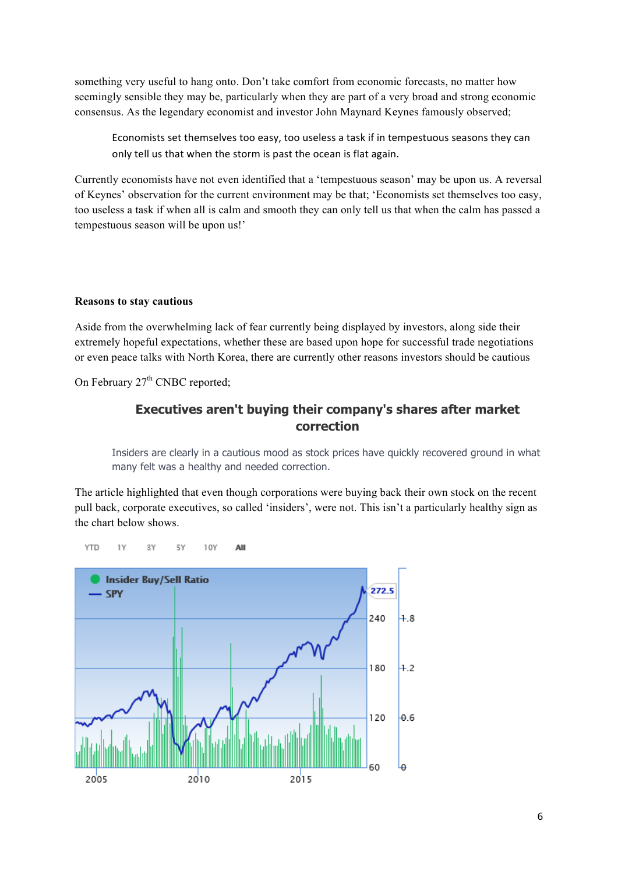something very useful to hang onto. Don't take comfort from economic forecasts, no matter how seemingly sensible they may be, particularly when they are part of a very broad and strong economic consensus. As the legendary economist and investor John Maynard Keynes famously observed;

Economists set themselves too easy, too useless a task if in tempestuous seasons they can only tell us that when the storm is past the ocean is flat again.

Currently economists have not even identified that a 'tempestuous season' may be upon us. A reversal of Keynes' observation for the current environment may be that; 'Economists set themselves too easy, too useless a task if when all is calm and smooth they can only tell us that when the calm has passed a tempestuous season will be upon us!'

#### **Reasons to stay cautious**

Aside from the overwhelming lack of fear currently being displayed by investors, along side their extremely hopeful expectations, whether these are based upon hope for successful trade negotiations or even peace talks with North Korea, there are currently other reasons investors should be cautious

On February  $27<sup>th</sup>$  CNBC reported:

## **Executives aren't buying their company's shares after market correction**

Insiders are clearly in a cautious mood as stock prices have quickly recovered ground in what many felt was a healthy and needed correction.

The article highlighted that even though corporations were buying back their own stock on the recent pull back, corporate executives, so called 'insiders', were not. This isn't a particularly healthy sign as the chart below shows.



**YTD** 1Y 3Y 5Y 10Y AII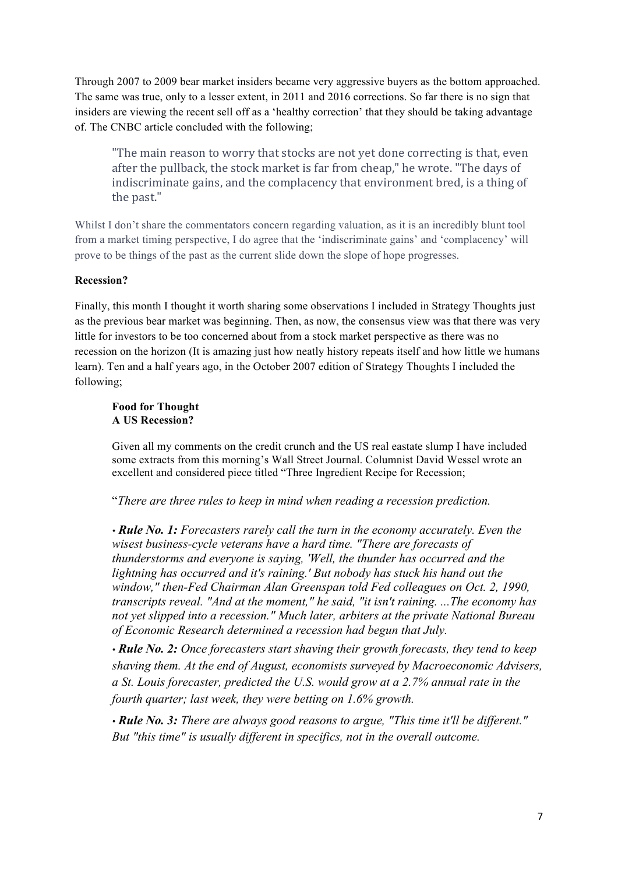Through 2007 to 2009 bear market insiders became very aggressive buyers as the bottom approached. The same was true, only to a lesser extent, in 2011 and 2016 corrections. So far there is no sign that insiders are viewing the recent sell off as a 'healthy correction' that they should be taking advantage of. The CNBC article concluded with the following;

"The main reason to worry that stocks are not yet done correcting is that, even after the pullback, the stock market is far from cheap," he wrote. "The days of indiscriminate gains, and the complacency that environment bred, is a thing of the past."

Whilst I don't share the commentators concern regarding valuation, as it is an incredibly blunt tool from a market timing perspective, I do agree that the 'indiscriminate gains' and 'complacency' will prove to be things of the past as the current slide down the slope of hope progresses.

## **Recession?**

Finally, this month I thought it worth sharing some observations I included in Strategy Thoughts just as the previous bear market was beginning. Then, as now, the consensus view was that there was very little for investors to be too concerned about from a stock market perspective as there was no recession on the horizon (It is amazing just how neatly history repeats itself and how little we humans learn). Ten and a half years ago, in the October 2007 edition of Strategy Thoughts I included the following;

#### **Food for Thought A US Recession?**

Given all my comments on the credit crunch and the US real eastate slump I have included some extracts from this morning's Wall Street Journal. Columnist David Wessel wrote an excellent and considered piece titled "Three Ingredient Recipe for Recession;

"*There are three rules to keep in mind when reading a recession prediction.*

*• Rule No. 1: Forecasters rarely call the turn in the economy accurately. Even the wisest business-cycle veterans have a hard time. "There are forecasts of thunderstorms and everyone is saying, 'Well, the thunder has occurred and the lightning has occurred and it's raining.' But nobody has stuck his hand out the window," then-Fed Chairman Alan Greenspan told Fed colleagues on Oct. 2, 1990, transcripts reveal. "And at the moment," he said, "it isn't raining. ...The economy has not yet slipped into a recession." Much later, arbiters at the private National Bureau of Economic Research determined a recession had begun that July.*

*• Rule No. 2: Once forecasters start shaving their growth forecasts, they tend to keep shaving them. At the end of August, economists surveyed by Macroeconomic Advisers, a St. Louis forecaster, predicted the U.S. would grow at a 2.7% annual rate in the fourth quarter; last week, they were betting on 1.6% growth.*

*• Rule No. 3: There are always good reasons to argue, "This time it'll be different." But "this time" is usually different in specifics, not in the overall outcome.*